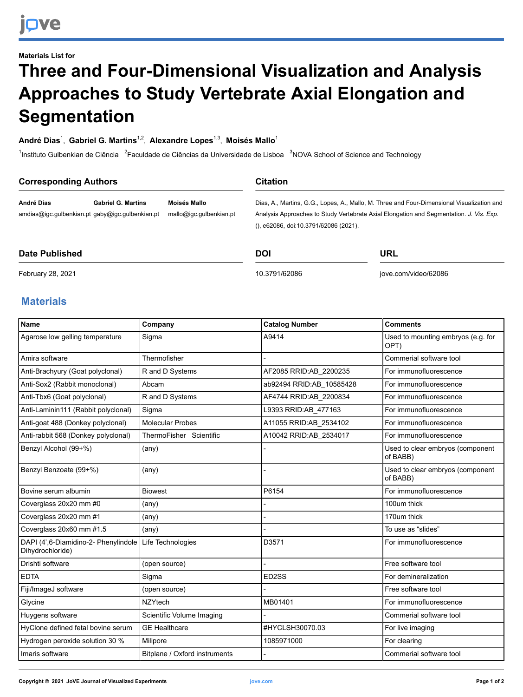# **Materials List for Three and Four-Dimensional Visualization and Analysis Approaches to Study Vertebrate Axial Elongation and Segmentation**

### **André Dias**<sup>1</sup> , **Gabriel G. Martins**1,2 , **Alexandre Lopes**1,3 , **Moisés Mallo**<sup>1</sup>

<sup>1</sup>Instituto Gulbenkian de Ciência <sup>2</sup>Faculdade de Ciências da Universidade de Lisboa <sup>3</sup>NOVA School of Science and Technology

| <b>Corresponding Authors</b> |                                                                              |                                         | <b>Citation</b>                       |                                                                                                                                                                                       |
|------------------------------|------------------------------------------------------------------------------|-----------------------------------------|---------------------------------------|---------------------------------------------------------------------------------------------------------------------------------------------------------------------------------------|
| André Dias                   | <b>Gabriel G. Martins</b><br>amdias@igc.gulbenkian.pt gaby@igc.gulbenkian.pt | Moisés Mallo<br>mallo@igc.gulbenkian.pt | (), e62086, doi:10.3791/62086 (2021). | Dias, A., Martins, G.G., Lopes, A., Mallo, M. Three and Four-Dimensional Visualization and<br>Analysis Approaches to Study Vertebrate Axial Elongation and Segmentation. J. Vis. Exp. |
| Date Published               |                                                                              |                                         | <b>DOI</b>                            | URL                                                                                                                                                                                   |

#### **Date Published**

[10.3791/62086](http://dx.doi.org/10.3791/62086)

[jove.com/video/62086](https://www.jove.com/video/62086)

#### February 28, 2021

## **Materials**

| <b>Name</b>                                              | Company                       | <b>Catalog Number</b>    | <b>Comments</b>                              |
|----------------------------------------------------------|-------------------------------|--------------------------|----------------------------------------------|
| Agarose low gelling temperature                          | Sigma                         | A9414                    | Used to mounting embryos (e.g. for<br>OPT)   |
| Amira software                                           | Thermofisher                  |                          | Commerial software tool                      |
| Anti-Brachyury (Goat polyclonal)                         | R and D Systems               | AF2085 RRID:AB_2200235   | For immunofluorescence                       |
| Anti-Sox2 (Rabbit monoclonal)                            | Abcam                         | ab92494 RRID:AB_10585428 | For immunofluorescence                       |
| Anti-Tbx6 (Goat polyclonal)                              | R and D Systems               | AF4744 RRID:AB_2200834   | For immunofluorescence                       |
| Anti-Laminin111 (Rabbit polyclonal)                      | Sigma                         | L9393 RRID:AB_477163     | For immunofluorescence                       |
| Anti-goat 488 (Donkey polyclonal)                        | <b>Molecular Probes</b>       | A11055 RRID:AB_2534102   | For immunofluorescence                       |
| Anti-rabbit 568 (Donkey polyclonal)                      | ThermoFisher Scientific       | A10042 RRID:AB_2534017   | For immunofluorescence                       |
| Benzyl Alcohol (99+%)                                    | (any)                         |                          | Used to clear embryos (component<br>of BABB) |
| Benzyl Benzoate (99+%)                                   | $(\text{any})$                |                          | Used to clear embryos (component<br>of BABB) |
| Bovine serum albumin                                     | <b>Biowest</b>                | P6154                    | For immunofluorescence                       |
| Coverglass 20x20 mm #0                                   | $(\text{any})$                |                          | 100um thick                                  |
| Coverglass 20x20 mm #1                                   | (any)                         |                          | 170um thick                                  |
| Coverglass 20x60 mm #1.5                                 | $(\text{any})$                |                          | To use as "slides"                           |
| DAPI (4',6-Diamidino-2- Phenylindole<br>Dihydrochloride) | Life Technologies             | D3571                    | For immunofluorescence                       |
| Drishti software                                         | (open source)                 |                          | Free software tool                           |
| <b>EDTA</b>                                              | Sigma                         | ED2SS                    | For demineralization                         |
| Fiji/ImageJ software                                     | (open source)                 |                          | Free software tool                           |
| Glycine                                                  | <b>NZYtech</b>                | MB01401                  | For immunofluorescence                       |
| Huygens software                                         | Scientific Volume Imaging     |                          | Commerial software tool                      |
| HyClone defined fetal bovine serum                       | <b>GE Healthcare</b>          | #HYCLSH30070.03          | For live imaging                             |
| Hydrogen peroxide solution 30 %                          | Milipore                      | 1085971000               | For clearing                                 |
| Imaris software                                          | Bitplane / Oxford instruments |                          | Commerial software tool                      |